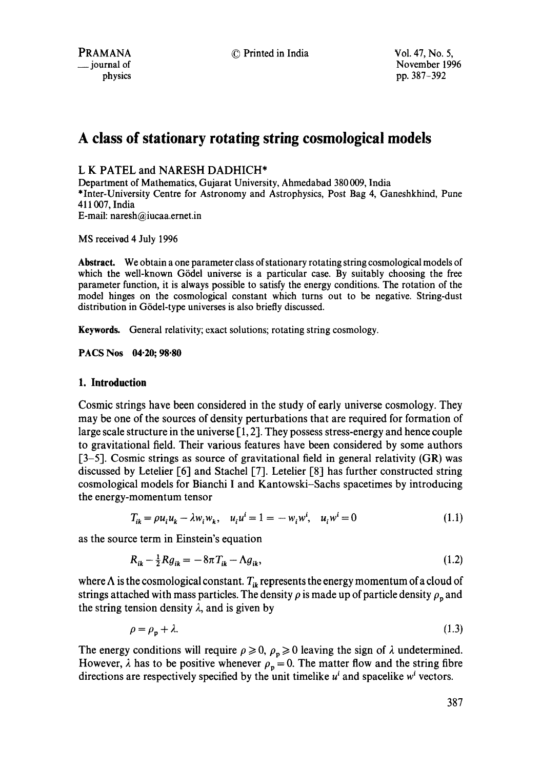# **A class of stationary rotating string cosmological models**

# L K PATEL and NARESH DADHICH\*

Department of Mathematics, Gujarat University, Ahmedabad 380 009, India \*Inter-University Centre for Astronomy and Astrophysics, Post Bag 4, Ganeshkhind, Pune 411007, India E-mail: naresh@iucaa.ernet.in

MS received 4 July 1996

**Abstract.** We obtain a one parameter class of stationary rotating string cosmological models of which the well-known Gödel universe is a particular case. By suitably choosing the free parameter function, it is always possible to satisfy the energy conditions. The rotation of the model hinges on the cosmological constant which turns out to be negative. String-dust distribution in Gödel-type universes is also briefly discussed.

Keywords. General relativity; exact solutions; rotating string cosmology.

**PACS Nos 04.20; 98.80** 

## **1. Introduction**

Cosmic strings have been considered in the study of early universe cosmology. They may be one of the sources of density perturbations that are required for formation of large scale structure in the universe [1, 2]. They possess stress-energy and hence couple to gravitational field. Their various features have been considered by some authors  $[3-5]$ . Cosmic strings as source of gravitational field in general relativity (GR) was discussed by Letelier [6] and Stachel [7]. Letelier [8] has further constructed string cosmological models for Bianchi I and Kantowski-Sachs spacetimes by introducing the energy-momentum tensor

$$
T_{ik} = \rho u_i u_k - \lambda w_i w_k, \quad u_i u^i = 1 = -w_i w^i, \quad u_i w^i = 0 \tag{1.1}
$$

as the source term in Einstein's equation

$$
R_{ik} - \frac{1}{2} R g_{ik} = -8\pi T_{ik} - \Lambda g_{ik},\tag{1.2}
$$

where  $\Lambda$  is the cosmological constant.  $T_{ik}$  represents the energy momentum of a cloud of strings attached with mass particles. The density  $\rho$  is made up of particle density  $\rho_p$  and the string tension density  $\lambda$ , and is given by

$$
\rho = \rho_{\mathbf{p}} + \lambda. \tag{1.3}
$$

The energy conditions will require  $\rho \ge 0$ ,  $\rho_p \ge 0$  leaving the sign of  $\lambda$  undetermined. However,  $\lambda$  has to be positive whenever  $\rho_p = 0$ . The matter flow and the string fibre directions are respectively specified by the unit timelike  $u^i$  and spacelike  $w^i$  vectors.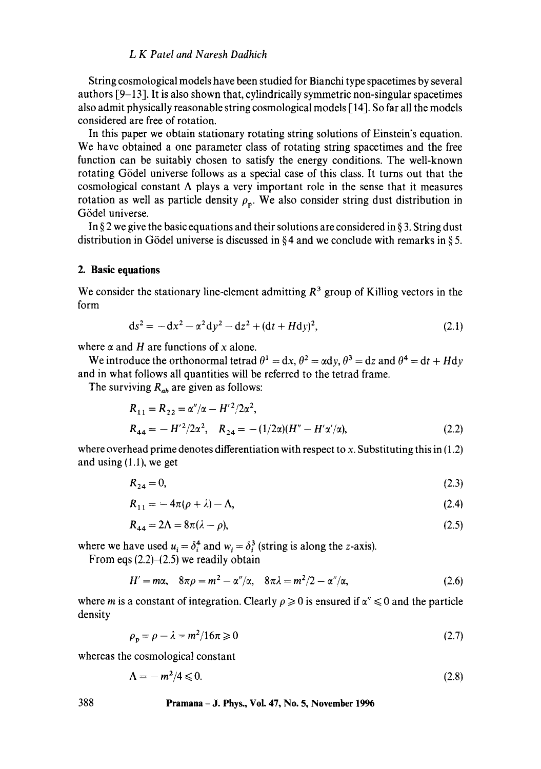## *L K Patel and Naresh Dadhich*

String cosmological models have been studied for Bianchi type spacetimes by several authors [9-13]. It is also shown that, cylindrically symmetric non-singular spacetimes also admit physically reasonable string cosmological models [14]. So far all the models considered are free of rotation.

In this paper we obtain stationary rotating string solutions of Einstein's equation. We have obtained a one parameter class of rotating string spacetimes and the free function can be suitably chosen to satisfy the energy conditions. The well-known rotating G6del universe follows as a special case of this class. It turns out that the cosmological constant  $\Lambda$  plays a very important role in the sense that it measures rotation as well as particle density  $\rho_n$ . We also consider string dust distribution in Gödel universe.

In § 2 we give the basic equations and their solutions are considered in § 3. String dust distribution in Gödel universe is discussed in  $\S 4$  and we conclude with remarks in  $\S 5$ .

#### **2. Basic equations**

We consider the stationary line-element admitting  $R<sup>3</sup>$  group of Killing vectors in the form

$$
ds^{2} = -dx^{2} - \alpha^{2} dy^{2} - dz^{2} + (dt + Hdy)^{2},
$$
\n(2.1)

where  $\alpha$  and H are functions of x alone.

We introduce the orthonormal tetrad  $\theta^1 = dx$ ,  $\theta^2 = \alpha dy$ ,  $\theta^3 = dz$  and  $\theta^4 = dt + H dy$ and in what follows all quantities will be referred to the tetrad frame.

The surviving  $R_{ab}$  are given as follows:

$$
R_{11} = R_{22} = \alpha''/\alpha - H'^2/2\alpha^2,
$$
  
\n
$$
R_{44} = -H'^2/2\alpha^2, \quad R_{24} = -(1/2\alpha)(H'' - H'\alpha'/\alpha),
$$
\n(2.2)

where overhead prime denotes differentiation with respect to x. Substituting this in (1.2) and using (1.1), we get

$$
R_{24} = 0,\t\t(2.3)
$$

$$
R_{11} = -4\pi(\rho + \lambda) - \Lambda,\tag{2.4}
$$

$$
R_{44} = 2\Lambda = 8\pi(\lambda - \rho),\tag{2.5}
$$

where we have used  $u_i = \delta_i^4$  and  $w_i = \delta_i^3$  (string is along the z-axis).

From eqs  $(2.2)$ - $(2.5)$  we readily obtain

$$
H' = m\alpha, \quad 8\pi\rho = m^2 - \alpha''/\alpha, \quad 8\pi\lambda = m^2/2 - \alpha''/\alpha,
$$
 (2.6)

where m is a constant of integration. Clearly  $\rho \geq 0$  is ensured if  $\alpha'' \leq 0$  and the particle density

$$
\rho_{p} = \rho - \lambda = m^{2} / 16\pi \geqslant 0 \tag{2.7}
$$

whereas the cosmological constant

$$
\Lambda = -m^2/4 \leqslant 0. \tag{2.8}
$$

**388 Pramana - J. Phys., Vol. 47, No. 5, November 1996**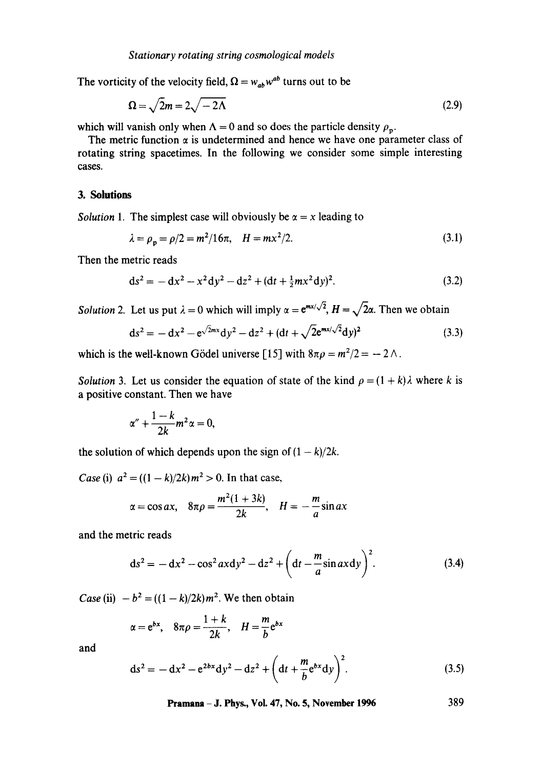The vorticity of the velocity field,  $\Omega = w_{ab}w^{ab}$  turns out to be

$$
\Omega = \sqrt{2}m = 2\sqrt{-2\Lambda} \tag{2.9}
$$

which will vanish only when  $\Lambda = 0$  and so does the particle density  $\rho_p$ .

The metric function  $\alpha$  is undetermined and hence we have one parameter class of rotating string spacetimes. In the following we consider some simple interesting cases.

# **3. Solutions**

*Solution 1.* The simplest case will obviously be  $\alpha = x$  leading to

$$
\lambda = \rho_{\rm p} = \rho/2 = m^2/16\pi, \quad H = mx^2/2. \tag{3.1}
$$

Then the metric reads

$$
ds^{2} = -dx^{2} - x^{2} dy^{2} - dz^{2} + (dt + \frac{1}{2}mx^{2} dy)^{2}.
$$
 (3.2)

*Solution 2.* Let us put  $\lambda = 0$  which will imply  $\alpha = e^{mx/\sqrt{2}}$ ,  $H = \sqrt{2}\alpha$ . Then we obtain

$$
ds^{2} = -dx^{2} - e^{\sqrt{2}mx} dy^{2} - dz^{2} + (dt + \sqrt{2}e^{mx/\sqrt{2}}dy)^{2}
$$
\n(3.3)

which is the well-known Gödel universe [15] with  $8\pi\rho = m^2/2 = -2\Lambda$ .

*Solution* 3. Let us consider the equation of state of the kind  $\rho = (1 + k)\lambda$  where k is a positive constant. Then we have

$$
\alpha'' + \frac{1-k}{2k}m^2\alpha = 0,
$$

the solution of which depends upon the sign of  $(1 - k)/2k$ .

*Case* (i)  $a^2 = ((1 - k)/2k) m^2 > 0$ . In that case,

$$
\alpha = \cos ax, \quad 8\pi\rho = \frac{m^2(1+3k)}{2k}, \quad H = -\frac{m}{a}\sin ax
$$

and the metric reads

$$
ds^{2} = -dx^{2} - \cos^{2} ax dy^{2} - dz^{2} + \left(dt - \frac{m}{a}\sin ax dy\right)^{2}.
$$
 (3.4)

*Case* (ii)  $-b^2 = ((1 - k)/2k) m^2$ . We then obtain

$$
\alpha = e^{bx}
$$
,  $8\pi\rho = \frac{1+k}{2k}$ ,  $H = \frac{m}{b}e^{bx}$ 

and

$$
ds^{2} = -dx^{2} - e^{2bx}dy^{2} - dz^{2} + \left(dt + \frac{m}{b}e^{bx}dy\right)^{2}.
$$
 (3.5)

**Pramana - J. Phys., Vol. 47, No. 5, November 1996 389**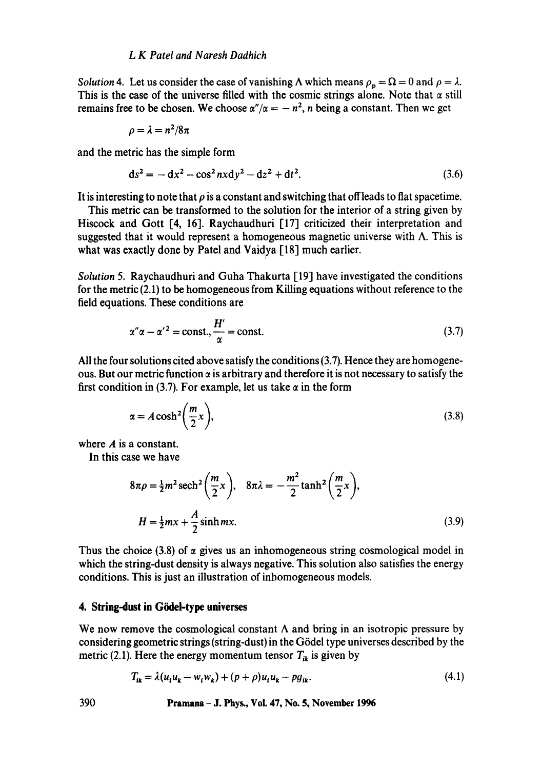#### *L K Patel and Naresh Dadhich*

*Solution* 4. Let us consider the case of vanishing  $\Lambda$  which means  $\rho_p = \Omega = 0$  and  $\rho = \lambda$ . This is the case of the universe filled with the cosmic strings alone. Note that  $\alpha$  still remains free to be chosen. We choose  $\alpha''/\alpha = -n^2$ , n being a constant. Then we get

$$
\rho=\lambda=n^2/8\pi
$$

and the metric has the simple form

$$
ds^{2} = -dx^{2} - \cos^{2} nx dy^{2} - dz^{2} + dt^{2}.
$$
 (3.6)

It is interesting to note that  $\rho$  is a constant and switching that offleads to flat spacetime.

This metric can be transformed to the solution for the interior of a string given by Hiscock and Gott [4, 16]. Raychaudhuri [17] criticized their interpretation and suggested that it would represent a homogeneous magnetic universe with  $\Lambda$ . This is what was exactly done by Patel and Vaidya [18] much earlier.

*Solution* 5. Raychaudhuri and Guha Thakurta [19] have investigated the conditions for the metric (2.1) to be homogeneous from Killing equations without reference to the field equations. These conditions are

$$
\alpha''\alpha - \alpha'^2 = \text{const.}, \frac{H'}{\alpha} = \text{const.}
$$
 (3.7)

All the four solutions cited above satisfy the conditions (3.7). Hence they are homogeneous. But our metric function  $\alpha$  is arbitrary and therefore it is not necessary to satisfy the first condition in (3.7). For example, let us take  $\alpha$  in the form

$$
\alpha = A \cosh^2\left(\frac{m}{2}x\right),\tag{3.8}
$$

where A is a constant.

In this case we have

$$
8\pi\rho = \frac{1}{2}m^2 \operatorname{sech}^2\left(\frac{m}{2}x\right), \quad 8\pi\lambda = -\frac{m^2}{2}\tanh^2\left(\frac{m}{2}x\right),
$$
  

$$
H = \frac{1}{2}mx + \frac{A}{2}\sinh mx.
$$
 (3.9)

Thus the choice (3.8) of  $\alpha$  gives us an inhomogeneous string cosmological model in which the string-dust density is always negative. This solution also satisfies the energy conditions. This is just an illustration of inhomogeneous models.

#### **4. String-dust in Gödel-type universes**

We now remove the cosmological constant  $\Lambda$  and bring in an isotropic pressure by considering geometric strings (string-dust) in the G6del type universes described by the metric (2.1). Here the energy momentum tensor  $T_{ik}$  is given by

$$
T_{ik} = \lambda (u_i u_k - w_i w_k) + (p + \rho) u_i u_k - p g_{ik}.
$$
\n
$$
(4.1)
$$

390 Pramana - J. Phys., Vol. 47, No. 5, November 1996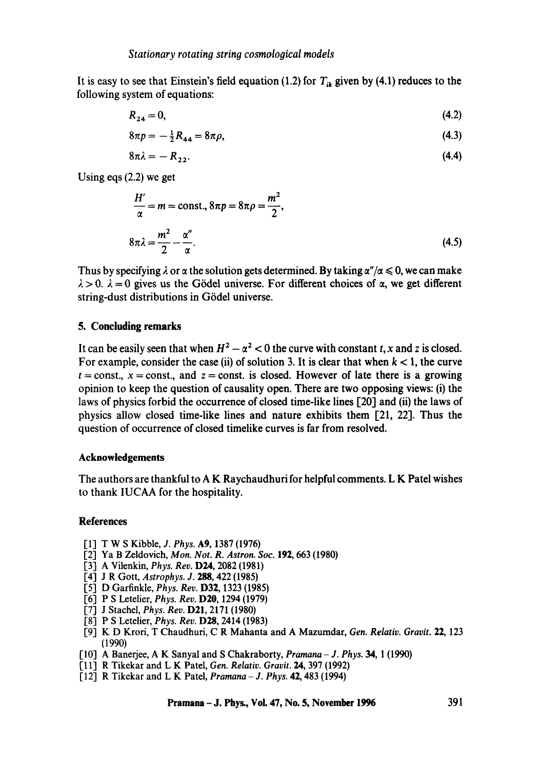It is easy to see that Einstein's field equation (1.2) for  $T_{ik}$  given by (4.1) reduces to the following system of equations:

$$
R_{24} = 0,\t\t(4.2)
$$

$$
8\pi p = -\frac{1}{2}R_{44} = 8\pi\rho, \tag{4.3}
$$

$$
8\pi\lambda = -R_{22}.\tag{4.4}
$$

Using eqs (2.2) we get

$$
\frac{H'}{\alpha} = m = \text{const.}, 8\pi p = 8\pi \rho = \frac{m^2}{2},
$$
  

$$
8\pi \lambda = \frac{m^2}{2} - \frac{\alpha''}{\alpha}.
$$
 (4.5)

Thus by specifying  $\lambda$  or  $\alpha$  the solution gets determined. By taking  $\alpha''/\alpha \leq 0$ , we can make  $\lambda > 0$ .  $\lambda = 0$  gives us the Gödel universe. For different choices of  $\alpha$ , we get different string-dust distributions in Gödel universe.

## **5. Concluding remarks**

It can be easily seen that when  $H^2 - \alpha^2 < 0$  the curve with constant t, x and z is closed. For example, consider the case (ii) of solution 3. It is clear that when  $k < 1$ , the curve  $t =$ const.,  $x =$ const., and  $z =$ const. is closed. However of late there is a growing opinion to keep the question of causality open. There are two opposing views: (i) the laws of physics forbid the occurrence of closed time-like lines [20] and (ii) the laws of physics allow closed time-like lines and nature exhibits them [21, 22]. Thus the question of occurrence of closed timelike curves is far from resolved.

### **Acknowledgements**

The authors are thankful to A K Raychaudhuri for helpful comments. L K Patel wishes to thank IUCAA for the hospitality.

## **References**

- [1] T W S Kibble, *J. Phys.* A9, 1387 (1976)
- [2] Ya B Zeldovich, *Mon. Not. R. Astron. Soc.* 192, 663 (1980)
- [3] A Vilcnkin, *Phys. Rev.* D24, 2082 (1981)
- [4] J R Gott, *Astrophys.* J. 288, 422 (1985)
- [5] D Garfinkle, *Phys. Rev.* D32, 1323 (1985)
- [6] P S Letelier, *Phys. Rev.* D20, 1294 (1979)
- [7] J Stachel, *Phys. Rev.* D21, 2171 (1980)
- [8] P S Letelier, *Phys. Rev.* D28, 2414 (1983)
- [9] K D Krori, T Chaudhuri, C R Mahanta and A Mazumdar, *Gen. Relativ. Gravit.* 22, 123 (1990)
- [10] A Banerjee, A K Sanyal and S Chakraborty, *Pramana J. Phys.* 34, 1 (1990)
- [11] R Tikekar and L K Patel, *Gen. Relativ. Gravit.* 24, 397 (1992)
- [12] R Tikekar and L K Patel, *Pramana J. Phys.* 42, 483 (1994)